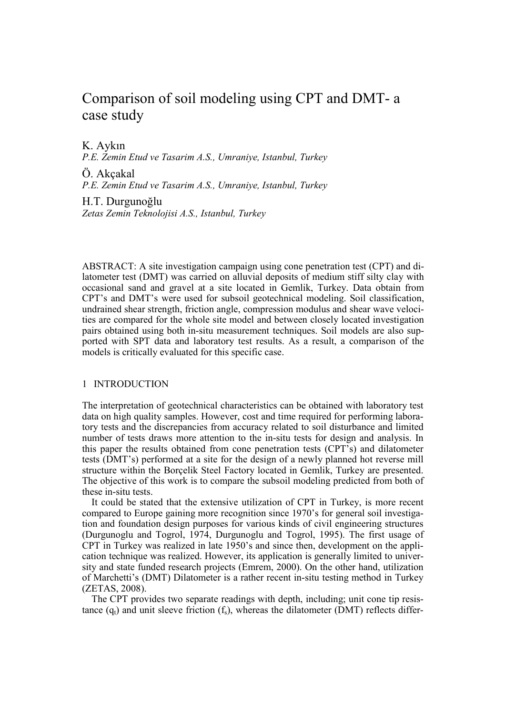# Comparison of soil modeling using CPT and DMT- a case study

K. Aykın

P.E. Zemin Etud ve Tasarim A.S., Umraniye, Istanbul, Turkey

Ö. Akçakal P.E. Zemin Etud ve Tasarim A.S., Umraniye, Istanbul, Turkey

H.T. Durgunoğlu Zetas Zemin Teknolojisi A.S., Istanbul, Turkey

ABSTRACT: A site investigation campaign using cone penetration test (CPT) and dilatometer test (DMT) was carried on alluvial deposits of medium stiff silty clay with occasional sand and gravel at a site located in Gemlik, Turkey. Data obtain from CPT's and DMT's were used for subsoil geotechnical modeling. Soil classification, undrained shear strength, friction angle, compression modulus and shear wave velocities are compared for the whole site model and between closely located investigation pairs obtained using both in-situ measurement techniques. Soil models are also supported with SPT data and laboratory test results. As a result, a comparison of the models is critically evaluated for this specific case.

# 1 INTRODUCTION

The interpretation of geotechnical characteristics can be obtained with laboratory test data on high quality samples. However, cost and time required for performing laboratory tests and the discrepancies from accuracy related to soil disturbance and limited number of tests draws more attention to the in-situ tests for design and analysis. In this paper the results obtained from cone penetration tests (CPT's) and dilatometer tests (DMT's) performed at a site for the design of a newly planned hot reverse mill structure within the Borçelik Steel Factory located in Gemlik, Turkey are presented. The objective of this work is to compare the subsoil modeling predicted from both of these in-situ tests.

It could be stated that the extensive utilization of CPT in Turkey, is more recent compared to Europe gaining more recognition since 1970's for general soil investigation and foundation design purposes for various kinds of civil engineering structures (Durgunoglu and Togrol, 1974, Durgunoglu and Togrol, 1995). The first usage of CPT in Turkey was realized in late 1950's and since then, development on the application technique was realized. However, its application is generally limited to university and state funded research projects (Emrem, 2000). On the other hand, utilization of Marchetti's (DMT) Dilatometer is a rather recent in-situ testing method in Turkey (ZETAS, 2008).

The CPT provides two separate readings with depth, including; unit cone tip resistance  $(q_t)$  and unit sleeve friction  $(f_s)$ , whereas the dilatometer (DMT) reflects differ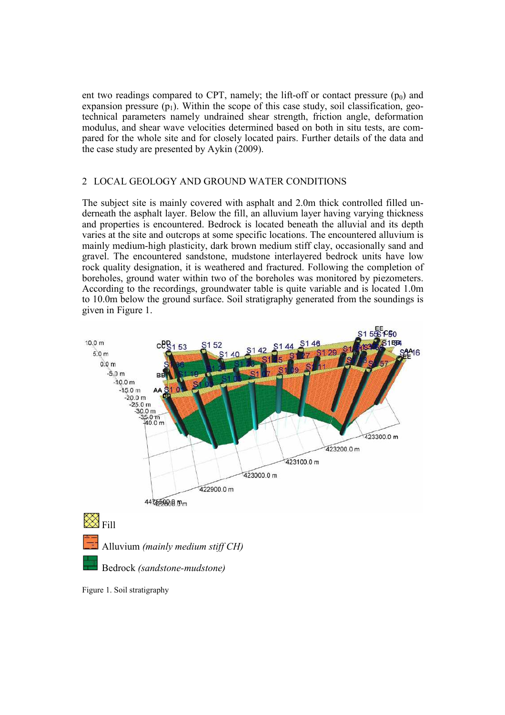ent two readings compared to CPT, namely; the lift-off or contact pressure  $(p_0)$  and expansion pressure  $(p_1)$ . Within the scope of this case study, soil classification, geotechnical parameters namely undrained shear strength, friction angle, deformation modulus, and shear wave velocities determined based on both in situ tests, are compared for the whole site and for closely located pairs. Further details of the data and the case study are presented by Aykin (2009).

# 2 LOCAL GEOLOGY AND GROUND WATER CONDITIONS

The subject site is mainly covered with asphalt and 2.0m thick controlled filled underneath the asphalt layer. Below the fill, an alluvium layer having varying thickness and properties is encountered. Bedrock is located beneath the alluvial and its depth varies at the site and outcrops at some specific locations. The encountered alluvium is mainly medium-high plasticity, dark brown medium stiff clay, occasionally sand and gravel. The encountered sandstone, mudstone interlayered bedrock units have low rock quality designation, it is weathered and fractured. Following the completion of boreholes, ground water within two of the boreholes was monitored by piezometers. According to the recordings, groundwater table is quite variable and is located 1.0m to 10.0m below the ground surface. Soil stratigraphy generated from the soundings is given in Figure 1.



Figure 1. Soil stratigraphy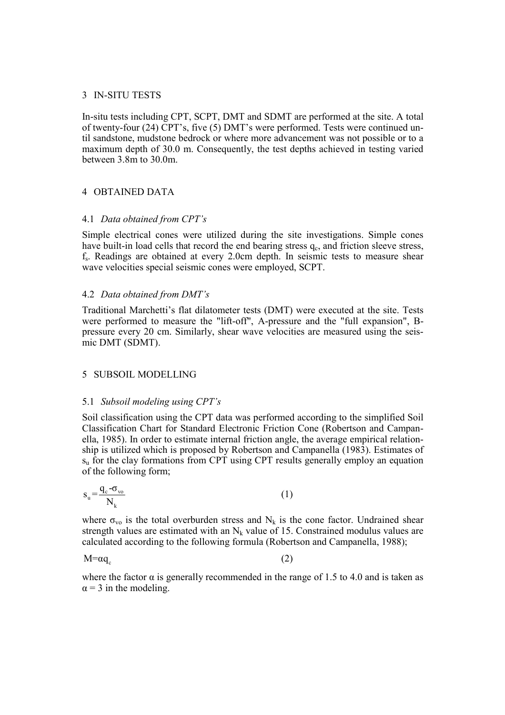# 3 IN-SITU TESTS

In-situ tests including CPT, SCPT, DMT and SDMT are performed at the site. A total of twenty-four (24) CPT's, five (5) DMT's were performed. Tests were continued until sandstone, mudstone bedrock or where more advancement was not possible or to a maximum depth of 30.0 m. Consequently, the test depths achieved in testing varied between 3.8m to 30.0m.

# 4 OBTAINED DATA

## 4.1 Data obtained from CPT's

Simple electrical cones were utilized during the site investigations. Simple cones have built-in load cells that record the end bearing stress  $q_c$ , and friction sleeve stress, fs . Readings are obtained at every 2.0cm depth. In seismic tests to measure shear wave velocities special seismic cones were employed, SCPT.

## 4.2 Data obtained from DMT's

Traditional Marchetti's flat dilatometer tests (DMT) were executed at the site. Tests were performed to measure the "lift-off", A-pressure and the "full expansion", Bpressure every 20 cm. Similarly, shear wave velocities are measured using the seismic DMT (SDMT).

#### 5 SUBSOIL MODELLING

#### 5.1 Subsoil modeling using CPT's

Soil classification using the CPT data was performed according to the simplified Soil Classification Chart for Standard Electronic Friction Cone (Robertson and Campanella, 1985). In order to estimate internal friction angle, the average empirical relationship is utilized which is proposed by Robertson and Campanella (1983). Estimates of  $s<sub>u</sub>$  for the clay formations from CPT using CPT results generally employ an equation of the following form;

$$
s_u = \frac{q_c - \sigma_{vo}}{N_k} \tag{1}
$$

where  $\sigma_{\rm vo}$  is the total overburden stress and N<sub>k</sub> is the cone factor. Undrained shear strength values are estimated with an  $N_k$  value of 15. Constrained modulus values are calculated according to the following formula (Robertson and Campanella, 1988);

 $M = \alpha q_c$ 

(2)

where the factor  $\alpha$  is generally recommended in the range of 1.5 to 4.0 and is taken as  $\alpha$  = 3 in the modeling.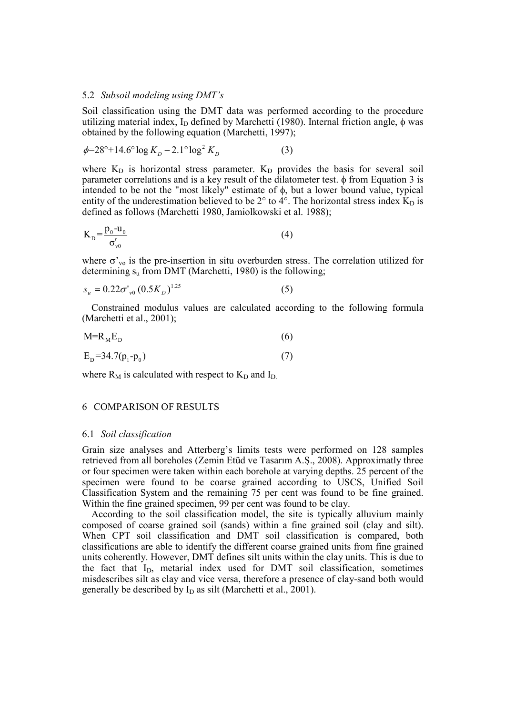#### 5.2 Subsoil modeling using DMT's

Soil classification using the DMT data was performed according to the procedure utilizing material index, I<sub>D</sub> defined by Marchetti (1980). Internal friction angle,  $\phi$  was obtained by the following equation (Marchetti, 1997);

$$
\phi = 28^{\circ} + 14.6^{\circ} \log K_{D} - 2.1^{\circ} \log^{2} K_{D}
$$
 (3)

where  $K_D$  is horizontal stress parameter.  $K_D$  provides the basis for several soil parameter correlations and is a key result of the dilatometer test.  $\phi$  from Equation 3 is intended to be not the "most likely" estimate of  $\phi$ , but a lower bound value, typical entity of the underestimation believed to be  $2^{\circ}$  to  $4^{\circ}$ . The horizontal stress index  $\overline{K}_{D}$  is defined as follows (Marchetti 1980, Jamiolkowski et al. 1988);

$$
K_{\mathrm{D}} = \frac{p_0 - u_0}{\sigma_{v0}'}\tag{4}
$$

where  $\sigma'_{\nu o}$  is the pre-insertion in situ overburden stress. The correlation utilized for determining  $s_u$  from DMT (Marchetti, 1980) is the following;

$$
s_u = 0.22 \sigma_{v0}^{\prime} (0.5 K_D)^{1.25}
$$
 (5)

Constrained modulus values are calculated according to the following formula (Marchetti et al., 2001);

$$
M=R_{\rm M}E_{\rm D} \tag{6}
$$

$$
E_{\rm p} = 34.7(p_1 - p_0) \tag{7}
$$

where  $R_M$  is calculated with respect to  $K_D$  and  $I_D$ .

# 6 COMPARISON OF RESULTS

#### 6.1 Soil classification

Grain size analyses and Atterberg's limits tests were performed on 128 samples retrieved from all boreholes (Zemin Etüd ve Tasarım A.Ş., 2008). Approximatly three or four specimen were taken within each borehole at varying depths. 25 percent of the specimen were found to be coarse grained according to USCS, Unified Soil Classification System and the remaining 75 per cent was found to be fine grained. Within the fine grained specimen, 99 per cent was found to be clay.

According to the soil classification model, the site is typically alluvium mainly composed of coarse grained soil (sands) within a fine grained soil (clay and silt). When CPT soil classification and DMT soil classification is compared, both classifications are able to identify the different coarse grained units from fine grained units coherently. However, DMT defines silt units within the clay units. This is due to the fact that I<sub>D</sub>, metarial index used for DMT soil classification, sometimes misdescribes silt as clay and vice versa, therefore a presence of clay-sand both would generally be described by  $I_D$  as silt (Marchetti et al., 2001).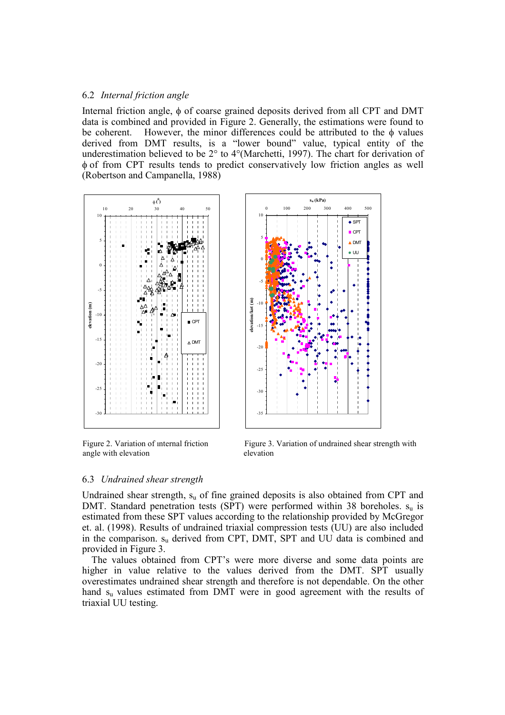# 6.2 Internal friction angle

Internal friction angle, φ of coarse grained deposits derived from all CPT and DMT data is combined and provided in Figure 2. Generally, the estimations were found to be coherent. However, the minor differences could be attributed to the  $\phi$  values derived from DMT results, is a "lower bound" value, typical entity of the underestimation believed to be 2° to 4°(Marchetti, 1997). The chart for derivation of φ of from CPT results tends to predict conservatively low friction angles as well (Robertson and Campanella, 1988)



angle with elevation elevation



Figure 2. Variation of internal friction Figure 3. Variation of undrained shear strength with

# 6.3 Undrained shear strength

Undrained shear strength, su of fine grained deposits is also obtained from CPT and DMT. Standard penetration tests (SPT) were performed within 38 boreholes.  $s_u$  is estimated from these SPT values according to the relationship provided by McGregor et. al. (1998). Results of undrained triaxial compression tests (UU) are also included in the comparison. su derived from CPT, DMT, SPT and UU data is combined and provided in Figure 3.

The values obtained from CPT's were more diverse and some data points are higher in value relative to the values derived from the DMT. SPT usually overestimates undrained shear strength and therefore is not dependable. On the other hand  $s<sub>u</sub>$  values estimated from DMT were in good agreement with the results of triaxial UU testing.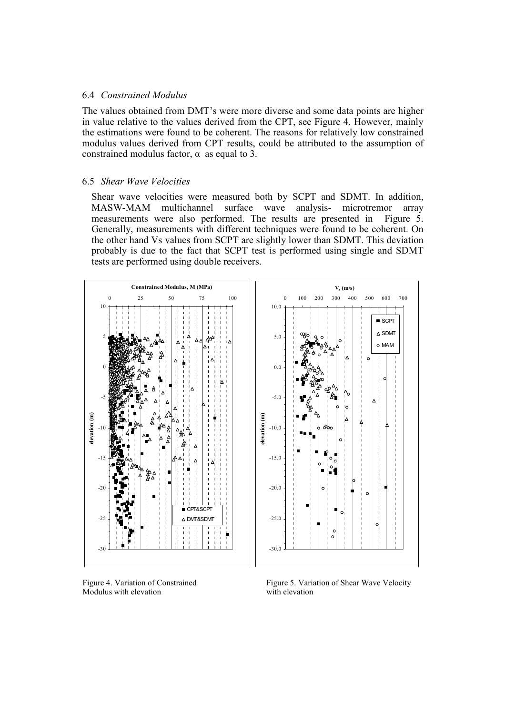## 6.4 Constrained Modulus

The values obtained from DMT's were more diverse and some data points are higher in value relative to the values derived from the CPT, see Figure 4. However, mainly the estimations were found to be coherent. The reasons for relatively low constrained modulus values derived from CPT results, could be attributed to the assumption of constrained modulus factor,  $\alpha$  as equal to 3.

# 6.5 Shear Wave Velocities

Shear wave velocities were measured both by SCPT and SDMT. In addition, MASW-MAM multichannel surface wave analysis- microtremor array measurements were also performed. The results are presented in Figure 5. Generally, measurements with different techniques were found to be coherent. On the other hand Vs values from SCPT are slightly lower than SDMT. This deviation probably is due to the fact that SCPT test is performed using single and SDMT tests are performed using double receivers.



Modulus with elevation

Figure 4. Variation of Constrained Figure 5. Variation of Shear Wave Velocity<br>Modulus with elevation with elevation with elevation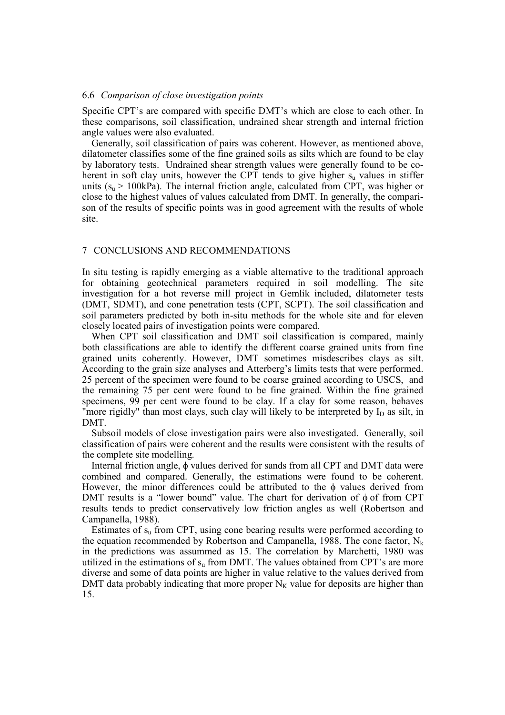#### 6.6 Comparison of close investigation points

Specific CPT's are compared with specific DMT's which are close to each other. In these comparisons, soil classification, undrained shear strength and internal friction angle values were also evaluated.

Generally, soil classification of pairs was coherent. However, as mentioned above, dilatometer classifies some of the fine grained soils as silts which are found to be clay by laboratory tests. Undrained shear strength values were generally found to be coherent in soft clay units, however the CPT tends to give higher  $s<sub>u</sub>$  values in stiffer units ( $s<sub>u</sub>$  > 100kPa). The internal friction angle, calculated from CPT, was higher or close to the highest values of values calculated from DMT. In generally, the comparison of the results of specific points was in good agreement with the results of whole site.

# 7 CONCLUSIONS AND RECOMMENDATIONS

In situ testing is rapidly emerging as a viable alternative to the traditional approach for obtaining geotechnical parameters required in soil modelling. The site investigation for a hot reverse mill project in Gemlik included, dilatometer tests (DMT, SDMT), and cone penetration tests (CPT, SCPT). The soil classification and soil parameters predicted by both in-situ methods for the whole site and for eleven closely located pairs of investigation points were compared.

When CPT soil classification and DMT soil classification is compared, mainly both classifications are able to identify the different coarse grained units from fine grained units coherently. However, DMT sometimes misdescribes clays as silt. According to the grain size analyses and Atterberg's limits tests that were performed. 25 percent of the specimen were found to be coarse grained according to USCS, and the remaining 75 per cent were found to be fine grained. Within the fine grained specimens, 99 per cent were found to be clay. If a clay for some reason, behaves "more rigidly" than most clays, such clay will likely to be interpreted by  $I_D$  as silt, in DMT.

Subsoil models of close investigation pairs were also investigated. Generally, soil classification of pairs were coherent and the results were consistent with the results of the complete site modelling.

Internal friction angle, φ values derived for sands from all CPT and DMT data were combined and compared. Generally, the estimations were found to be coherent. However, the minor differences could be attributed to the  $\phi$  values derived from DMT results is a "lower bound" value. The chart for derivation of  $\phi$  of from CPT results tends to predict conservatively low friction angles as well (Robertson and Campanella, 1988).

Estimates of  $s<sub>u</sub>$  from CPT, using cone bearing results were performed according to the equation recommended by Robertson and Campanella, 1988. The cone factor,  $N_k$ in the predictions was assummed as 15. The correlation by Marchetti, 1980 was utilized in the estimations of  $s<sub>u</sub>$  from DMT. The values obtained from CPT's are more diverse and some of data points are higher in value relative to the values derived from DMT data probably indicating that more proper  $N_K$  value for deposits are higher than 15.